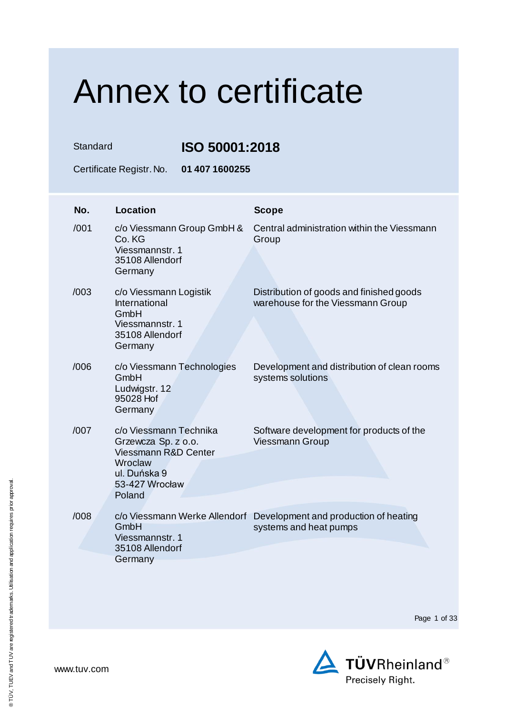Standard **ISO 50001:2018**

Certificate Registr. No. **01 407 1600255**

| No.  | <b>Location</b>                                                                                                              | <b>Scope</b>                                                                  |
|------|------------------------------------------------------------------------------------------------------------------------------|-------------------------------------------------------------------------------|
| /001 | c/o Viessmann Group GmbH &<br>Co. KG<br>Viessmannstr, 1<br>35108 Allendorf<br>Germany                                        | Central administration within the Viessmann<br>Group                          |
| /003 | c/o Viessmann Logistik<br>International<br>GmbH<br>Viessmannstr, 1<br>35108 Allendorf<br>Germany                             | Distribution of goods and finished goods<br>warehouse for the Viessmann Group |
| /006 | c/o Viessmann Technologies<br>GmbH<br>Ludwigstr. 12<br>95028 Hof<br>Germany                                                  | Development and distribution of clean rooms<br>systems solutions              |
| /007 | c/o Viessmann Technika<br>Grzewcza Sp. z o.o.<br>Viessmann R&D Center<br>Wroclaw<br>ul. Duńska 9<br>53-427 Wrocław<br>Poland | Software development for products of the<br><b>Viessmann Group</b>            |
| /008 | c/o Viessmann Werke Allendorf<br>GmbH<br>Viessmannstr, 1<br>35108 Allendorf                                                  | Development and production of heating<br>systems and heat pumps               |
|      | Germany                                                                                                                      |                                                                               |

Page 1 of 33

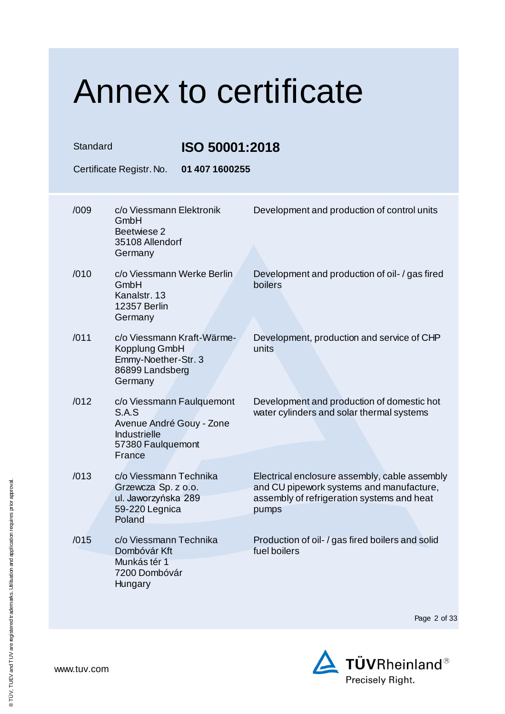### Annex to certificate Standard **ISO 50001:2018** Certificate Registr. No. **01 407 1600255** /009 c/o Viessmann Elektronik GmbH Beetwiese 2 35108 Allendorf Germany Development and production of control units /010 c/o Viessmann Werke Berlin GmbH Kanalstr. 13 12357 Berlin Germany Development and production of oil- / gas fired boilers /011 c/o Viessmann Kraft-Wärme-Kopplung GmbH Emmy-Noether-Str. 3 86899 Landsberg Germany Development, production and service of CHP units /012 c/o Viessmann Faulquemont S.A.S Avenue André Gouy - Zone Industrielle 57380 Faulquemont France Development and production of domestic hot water cylinders and solar thermal systems /013 c/o Viessmann Technika Grzewcza Sp. z o.o. ul. Jaworzyńska 289 59-220 Legnica Poland Electrical enclosure assembly, cable assembly and CU pipework systems and manufacture, assembly of refrigeration systems and heat pumps /015 c/o Viessmann Technika Dombóvár Kft Munkás tér 1 7200 Dombóvár **Hungary** Production of oil- / gas fired boilers and solid fuel boilers

Page 2 of 33

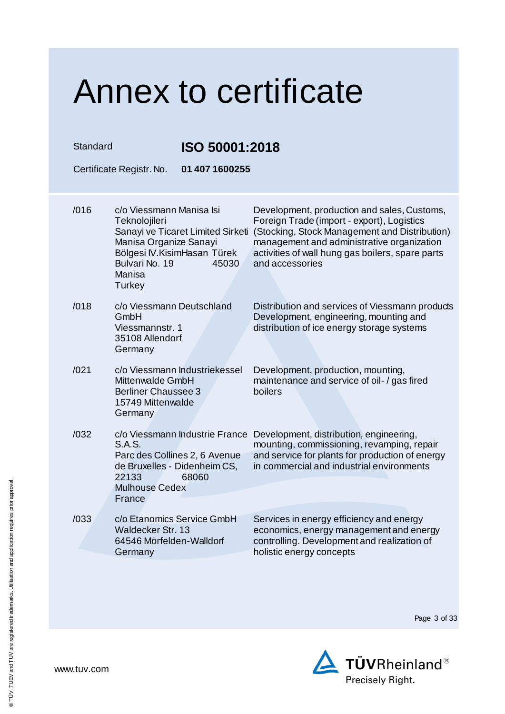Standard **ISO 50001:2018** Certificate Registr. No. **01 407 1600255** /016 c/o Viessmann Manisa Isi **Teknoloiileri** Sanayi ve Ticaret Limited Sirketi (Stocking, Stock Management and Distribution) Manisa Organize Sanayi Bölgesi IV.KisimHasan Türek Bulvari No. 19 45030 Manisa **Turkey** Development, production and sales, Customs, Foreign Trade (import - export), Logistics management and administrative organization activities of wall hung gas boilers, spare parts and accessories /018 c/o Viessmann Deutschland GmbH Viessmannstr. 1 35108 Allendorf Germany Distribution and services of Viessmann products Development, engineering, mounting and distribution of ice energy storage systems /021 c/o Viessmann Industriekessel Mittenwalde GmbH Berliner Chaussee 3 15749 Mittenwalde **Germany** Development, production, mounting, maintenance and service of oil- / gas fired boilers /032 c/o Viessmann Industrie France Development, distribution, engineering, S.A.S. Parc des Collines 2, 6 Avenue de Bruxelles - Didenheim CS, 22133 68060 Mulhouse Cedex France mounting, commissioning, revamping, repair and service for plants for production of energy in commercial and industrial environments /033 c/o Etanomics Service GmbH Waldecker Str. 13 64546 Mörfelden-Walldorf Germany Services in energy efficiency and energy economics, energy management and energy controlling. Development and realization of holistic energy concepts

Page 3 of 33



www.tuv.com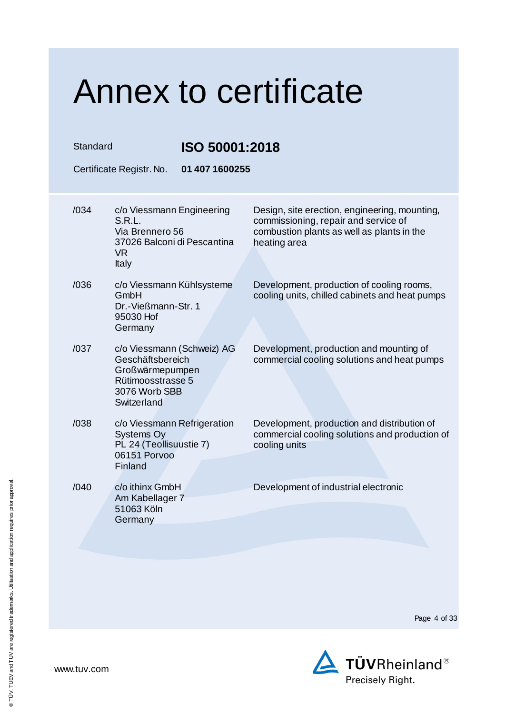### Annex to certificate Standard **ISO 50001:2018** Certificate Registr. No. **01 407 1600255** /034 c/o Viessmann Engineering S.R.L. Via Brennero 56 37026 Balconi di Pescantina VR Italy Design, site erection, engineering, mounting, commissioning, repair and service of combustion plants as well as plants in the heating area /036 c/o Viessmann Kühlsysteme GmbH Dr.-Vießmann-Str. 1 95030 Hof **Germany** Development, production of cooling rooms, cooling units, chilled cabinets and heat pumps /037 c/o Viessmann (Schweiz) AG Geschäftsbereich Großwärmepumpen Rütimoosstrasse 5 3076 Worb SBB **Switzerland** Development, production and mounting of commercial cooling solutions and heat pumps /038 c/o Viessmann Refrigeration Systems Oy PL 24 (Teollisuustie 7) 06151 Porvoo Finland Development, production and distribution of commercial cooling solutions and production of cooling units /040 c/o ithinx GmbH Am Kabellager 7 51063 Köln **Germany** Development of industrial electronic

Page 4 of 33



www.tuv.com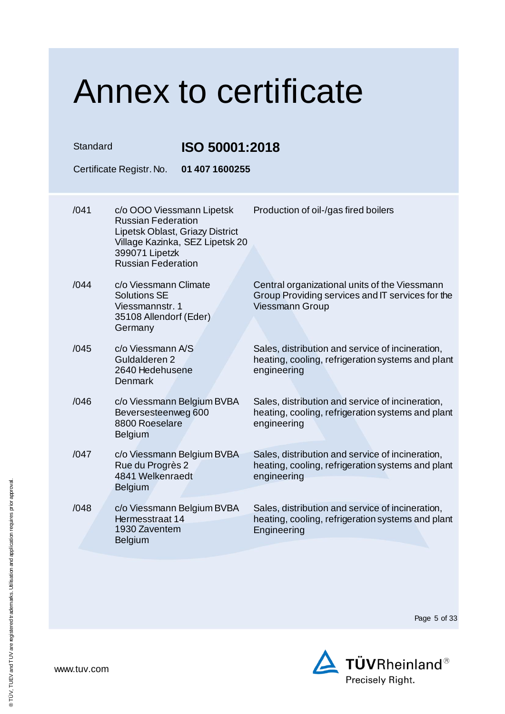| Standard | ISO 50001:2018                                                                                                                                                              |                                                                                                                      |
|----------|-----------------------------------------------------------------------------------------------------------------------------------------------------------------------------|----------------------------------------------------------------------------------------------------------------------|
|          | Certificate Registr. No.<br>01 407 1600255                                                                                                                                  |                                                                                                                      |
| /041     | c/o OOO Viessmann Lipetsk<br><b>Russian Federation</b><br>Lipetsk Oblast, Griazy District<br>Village Kazinka, SEZ Lipetsk 20<br>399071 Lipetzk<br><b>Russian Federation</b> | Production of oil-/gas fired boilers                                                                                 |
| /044     | c/o Viessmann Climate<br><b>Solutions SE</b><br>Viessmannstr, 1<br>35108 Allendorf (Eder)<br>Germany                                                                        | Central organizational units of the Viessmann<br>Group Providing services and IT services for the<br>Viessmann Group |
| /045     | c/o Viessmann A/S<br>Guldalderen 2<br>2640 Hedehusene<br><b>Denmark</b>                                                                                                     | Sales, distribution and service of incineration,<br>heating, cooling, refrigeration systems and plant<br>engineering |
| /046     | c/o Viessmann Belgium BVBA<br>Beversesteenweg 600<br>8800 Roeselare<br>Belgium                                                                                              | Sales, distribution and service of incineration,<br>heating, cooling, refrigeration systems and plant<br>engineering |
| /047     | c/o Viessmann Belgium BVBA<br>Rue du Progrès 2<br>4841 Welkenraedt<br>Belgium                                                                                               | Sales, distribution and service of incineration,<br>heating, cooling, refrigeration systems and plant<br>engineering |
| /048     | c/o Viessmann Belgium BVBA<br>Hermesstraat 14<br>1930 Zaventem<br>Belgium                                                                                                   | Sales, distribution and service of incineration,<br>heating, cooling, refrigeration systems and plant<br>Engineering |

Page 5 of 33

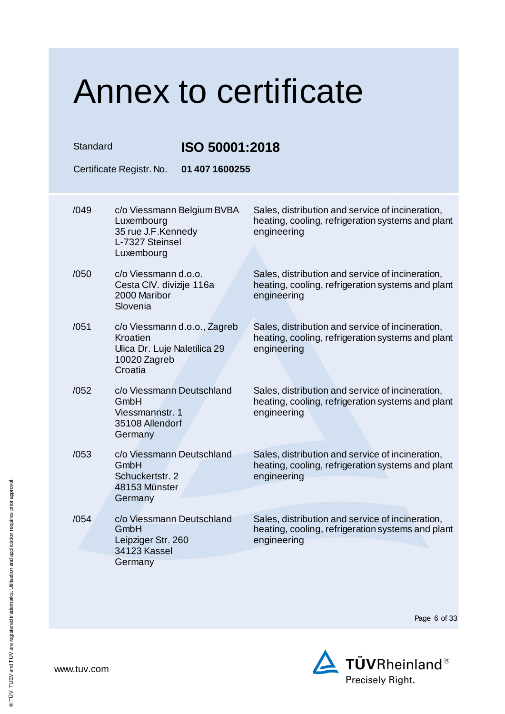| Standard | <b>ISO 50001:2018</b><br>01 407 1600255<br>Certificate Registr. No.                                 |                                                                                                                      |
|----------|-----------------------------------------------------------------------------------------------------|----------------------------------------------------------------------------------------------------------------------|
| /049     | c/o Viessmann Belgium BVBA<br>Luxembourg<br>35 rue J.F.Kennedy<br>L-7327 Steinsel<br>Luxembourg     | Sales, distribution and service of incineration,<br>heating, cooling, refrigeration systems and plant<br>engineering |
| /050     | c/o Viessmann d.o.o.<br>Cesta CIV. divizije 116a<br>2000 Maribor<br>Slovenia                        | Sales, distribution and service of incineration,<br>heating, cooling, refrigeration systems and plant<br>engineering |
| /051     | c/o Viessmann d.o.o., Zagreb<br>Kroatien<br>Ulica Dr. Luje Naletilica 29<br>10020 Zagreb<br>Croatia | Sales, distribution and service of incineration,<br>heating, cooling, refrigeration systems and plant<br>engineering |
| /052     | c/o Viessmann Deutschland<br>GmbH<br>Viessmannstr. 1<br>35108 Allendorf<br>Germany                  | Sales, distribution and service of incineration,<br>heating, cooling, refrigeration systems and plant<br>engineering |
| /053     | c/o Viessmann Deutschland<br>GmbH<br>Schuckertstr. 2<br>48153 Münster<br>Germany                    | Sales, distribution and service of incineration,<br>heating, cooling, refrigeration systems and plant<br>engineering |
| /054     | c/o Viessmann Deutschland<br>GmbH<br>Leipziger Str. 260<br>34123 Kassel<br>Germany                  | Sales, distribution and service of incineration,<br>heating, cooling, refrigeration systems and plant<br>engineering |

Page 6 of 33

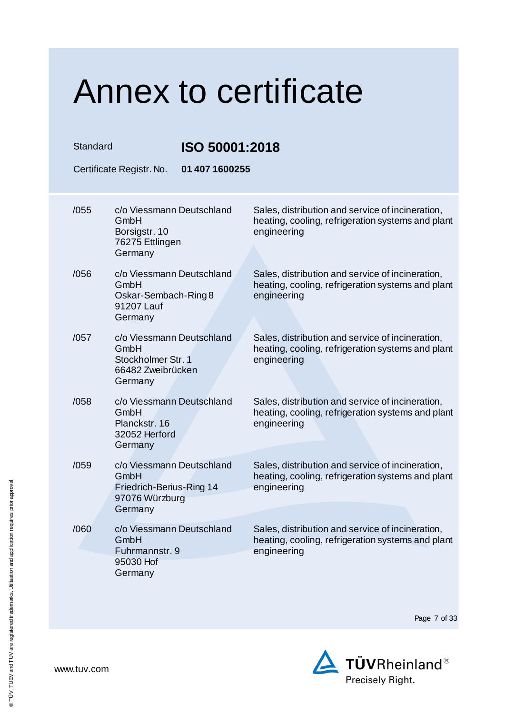| Standard | Certificate Registr. No.<br>01 407 1600255                                                 | ISO 50001:2018                                                                                                       |  |
|----------|--------------------------------------------------------------------------------------------|----------------------------------------------------------------------------------------------------------------------|--|
| /055     | c/o Viessmann Deutschland<br>GmbH<br>Borsigstr. 10<br>76275 Ettlingen<br>Germany           | Sales, distribution and service of incineration,<br>heating, cooling, refrigeration systems and plant<br>engineering |  |
| /056     | c/o Viessmann Deutschland<br>GmbH<br>Oskar-Sembach-Ring 8<br>91207 Lauf<br>Germany         | Sales, distribution and service of incineration,<br>heating, cooling, refrigeration systems and plant<br>engineering |  |
| /057     | c/o Viessmann Deutschland<br>GmbH<br>Stockholmer Str. 1<br>66482 Zweibrücken<br>Germany    | Sales, distribution and service of incineration,<br>heating, cooling, refrigeration systems and plant<br>engineering |  |
| /058     | c/o Viessmann Deutschland<br>GmbH<br>Planckstr, 16<br>32052 Herford<br>Germany             | Sales, distribution and service of incineration,<br>heating, cooling, refrigeration systems and plant<br>engineering |  |
| /059     | c/o Viessmann Deutschland<br>GmbH<br>Friedrich-Berius-Ring 14<br>97076 Würzburg<br>Germany | Sales, distribution and service of incineration,<br>heating, cooling, refrigeration systems and plant<br>engineering |  |
| /060     | c/o Viessmann Deutschland<br>GmbH<br>Fuhrmannstr. 9<br>95030 Hof<br>Germany                | Sales, distribution and service of incineration,<br>heating, cooling, refrigeration systems and plant<br>engineering |  |

Page 7 of 33

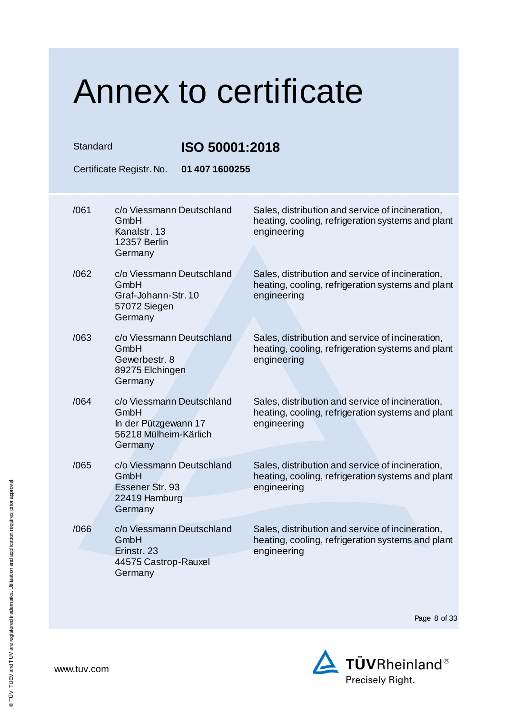| Standard | ISO 50001:2018<br>01 407 1600255<br>Certificate Registr. No.                                  |                                                                                                                      |
|----------|-----------------------------------------------------------------------------------------------|----------------------------------------------------------------------------------------------------------------------|
| /061     | c/o Viessmann Deutschland<br>GmbH<br>Kanalstr. 13<br>12357 Berlin<br>Germany                  | Sales, distribution and service of incineration,<br>heating, cooling, refrigeration systems and plant<br>engineering |
| /062     | c/o Viessmann Deutschland<br>GmbH<br>Graf-Johann-Str. 10<br>57072 Siegen<br>Germany           | Sales, distribution and service of incineration,<br>heating, cooling, refrigeration systems and plant<br>engineering |
| /063     | c/o Viessmann Deutschland<br>GmbH<br>Gewerbestr, 8<br>89275 Elchingen<br>Germany              | Sales, distribution and service of incineration,<br>heating, cooling, refrigeration systems and plant<br>engineering |
| /064     | c/o Viessmann Deutschland<br>GmbH<br>In der Pützgewann 17<br>56218 Mülheim-Kärlich<br>Germany | Sales, distribution and service of incineration,<br>heating, cooling, refrigeration systems and plant<br>engineering |
| /065     | c/o Viessmann Deutschland<br>GmbH<br>Essener Str. 93<br>22419 Hamburg<br>Germany              | Sales, distribution and service of incineration,<br>heating, cooling, refrigeration systems and plant<br>engineering |
| /066     | c/o Viessmann Deutschland<br>GmbH<br>Erinstr. 23<br>44575 Castrop-Rauxel<br>Germany           | Sales, distribution and service of incineration,<br>heating, cooling, refrigeration systems and plant<br>engineering |

Page 8 of 33

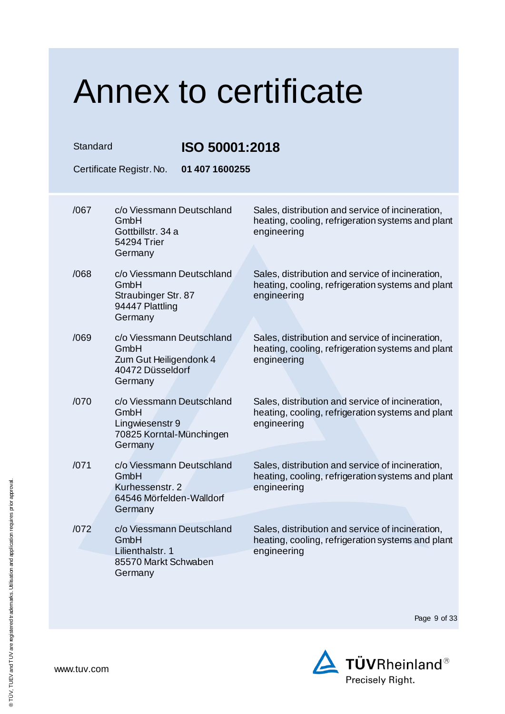| Standard<br>ISO 50001:2018<br>Certificate Registr. No.<br>01 407 1600255 |                                                                                             |                                                                                                                      |  |
|--------------------------------------------------------------------------|---------------------------------------------------------------------------------------------|----------------------------------------------------------------------------------------------------------------------|--|
| /067                                                                     | c/o Viessmann Deutschland<br>GmbH<br>Gottbillstr. 34 a<br>54294 Trier<br>Germany            | Sales, distribution and service of incineration,<br>heating, cooling, refrigeration systems and plant<br>engineering |  |
| /068                                                                     | c/o Viessmann Deutschland<br>GmbH<br>Straubinger Str. 87<br>94447 Plattling<br>Germany      | Sales, distribution and service of incineration,<br>heating, cooling, refrigeration systems and plant<br>engineering |  |
| /069                                                                     | c/o Viessmann Deutschland<br>GmbH<br>Zum Gut Heiligendonk 4<br>40472 Düsseldorf<br>Germany  | Sales, distribution and service of incineration,<br>heating, cooling, refrigeration systems and plant<br>engineering |  |
| /070                                                                     | c/o Viessmann Deutschland<br>GmbH<br>Lingwiesenstr 9<br>70825 Korntal-Münchingen<br>Germany | Sales, distribution and service of incineration,<br>heating, cooling, refrigeration systems and plant<br>engineering |  |
| /071                                                                     | c/o Viessmann Deutschland<br>GmbH<br>Kurhessenstr. 2<br>64546 Mörfelden-Walldorf<br>Germany | Sales, distribution and service of incineration,<br>heating, cooling, refrigeration systems and plant<br>engineering |  |
| /072                                                                     | c/o Viessmann Deutschland<br>GmbH<br>Lilienthalstr. 1<br>85570 Markt Schwaben<br>Germany    | Sales, distribution and service of incineration,<br>heating, cooling, refrigeration systems and plant<br>engineering |  |

Page 9 of 33

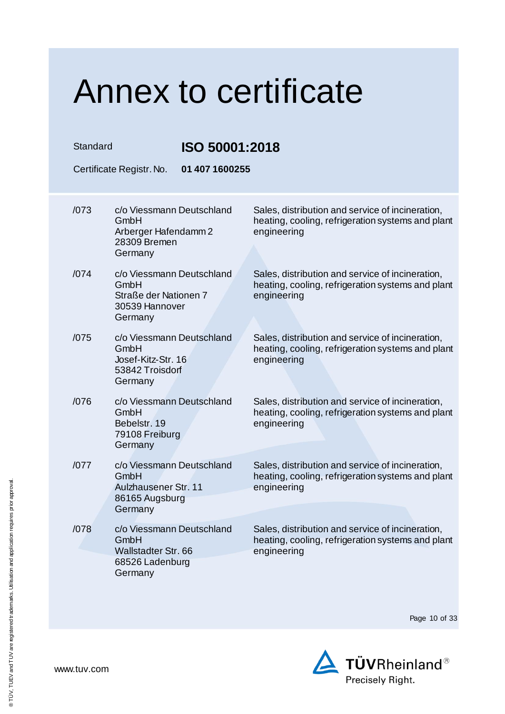| Standard | ISO 50001:2018<br>Certificate Registr. No.<br>01 407 1600255                                  |                                                                                                                      |
|----------|-----------------------------------------------------------------------------------------------|----------------------------------------------------------------------------------------------------------------------|
| /073     | c/o Viessmann Deutschland<br>GmbH<br>Arberger Hafendamm 2<br>28309 Bremen<br>Germany          | Sales, distribution and service of incineration,<br>heating, cooling, refrigeration systems and plant<br>engineering |
| /074     | c/o Viessmann Deutschland<br>GmbH<br>Straße der Nationen 7<br>30539 Hannover<br>Germany       | Sales, distribution and service of incineration,<br>heating, cooling, refrigeration systems and plant<br>engineering |
| /075     | c/o Viessmann Deutschland<br>GmbH<br>Josef-Kitz-Str. 16<br>53842 Troisdorf<br>Germany         | Sales, distribution and service of incineration,<br>heating, cooling, refrigeration systems and plant<br>engineering |
| /076     | c/o Viessmann Deutschland<br>GmbH<br>Bebelstr. 19<br>79108 Freiburg<br>Germany                | Sales, distribution and service of incineration,<br>heating, cooling, refrigeration systems and plant<br>engineering |
| /077     | c/o Viessmann Deutschland<br>GmbH<br>Aulzhausener Str. 11<br>86165 Augsburg<br>Germany        | Sales, distribution and service of incineration,<br>heating, cooling, refrigeration systems and plant<br>engineering |
| /078     | c/o Viessmann Deutschland<br>GmbH<br><b>Wallstadter Str. 66</b><br>68526 Ladenburg<br>Germany | Sales, distribution and service of incineration,<br>heating, cooling, refrigeration systems and plant<br>engineering |

Page 10 of 33

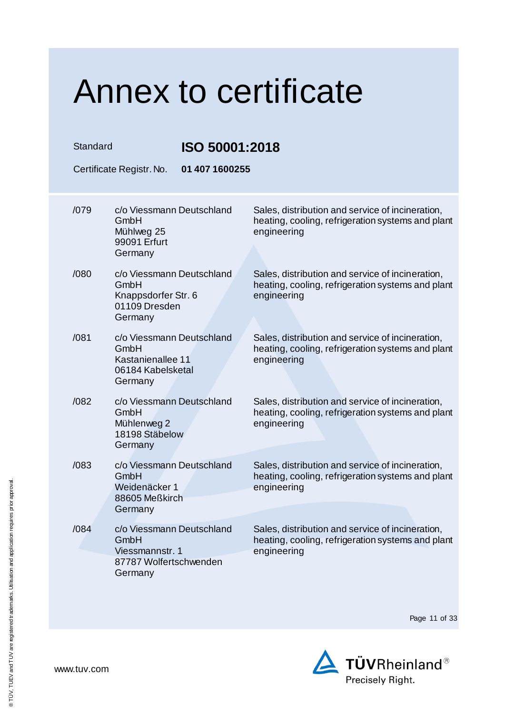| Standard | Certificate Registr. No.                                                                  | ISO 50001:2018<br>01 407 1600255                                                                                     |  |
|----------|-------------------------------------------------------------------------------------------|----------------------------------------------------------------------------------------------------------------------|--|
| /079     | c/o Viessmann Deutschland<br>GmbH<br>Mühlweg 25<br>99091 Erfurt<br>Germany                | Sales, distribution and service of incineration,<br>heating, cooling, refrigeration systems and plant<br>engineering |  |
| /080     | c/o Viessmann Deutschland<br>GmbH<br>Knappsdorfer Str. 6<br>01109 Dresden<br>Germany      | Sales, distribution and service of incineration,<br>heating, cooling, refrigeration systems and plant<br>engineering |  |
| /081     | c/o Viessmann Deutschland<br>GmbH<br>Kastanienallee 11<br>06184 Kabelsketal<br>Germany    | Sales, distribution and service of incineration,<br>heating, cooling, refrigeration systems and plant<br>engineering |  |
| /082     | c/o Viessmann Deutschland<br>GmbH<br>Mühlenweg 2<br>18198 Stäbelow<br>Germany             | Sales, distribution and service of incineration,<br>heating, cooling, refrigeration systems and plant<br>engineering |  |
| /083     | c/o Viessmann Deutschland<br>GmbH<br>Weidenäcker 1<br>88605 Meßkirch<br>Germany           | Sales, distribution and service of incineration,<br>heating, cooling, refrigeration systems and plant<br>engineering |  |
| /084     | c/o Viessmann Deutschland<br>GmbH<br>Viessmannstr. 1<br>87787 Wolfertschwenden<br>Germany | Sales, distribution and service of incineration,<br>heating, cooling, refrigeration systems and plant<br>engineering |  |

Page 11 of 33

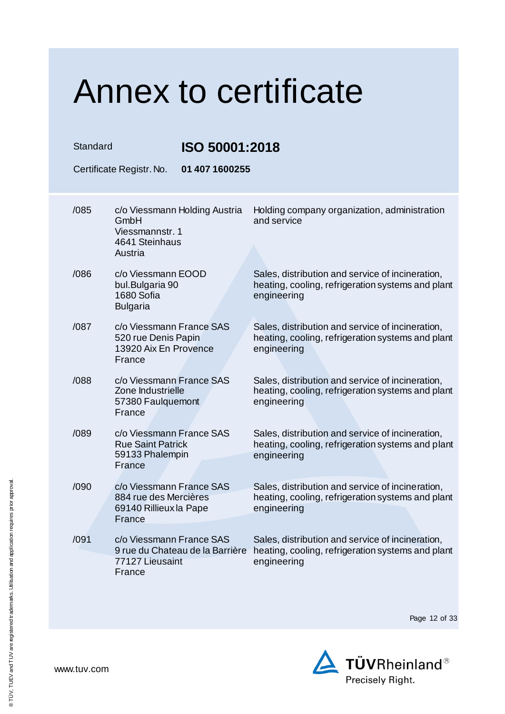| Standard |                                                                                          | ISO 50001:2018                                                                                                       |
|----------|------------------------------------------------------------------------------------------|----------------------------------------------------------------------------------------------------------------------|
|          | Certificate Registr. No.<br>01 407 1600255                                               |                                                                                                                      |
| /085     | c/o Viessmann Holding Austria<br>GmbH<br>Viessmannstr. 1<br>4641 Steinhaus<br>Austria    | Holding company organization, administration<br>and service                                                          |
| /086     | c/o Viessmann EOOD<br>bul.Bulgaria 90<br>1680 Sofia<br><b>Bulgaria</b>                   | Sales, distribution and service of incineration,<br>heating, cooling, refrigeration systems and plant<br>engineering |
| /087     | c/o Viessmann France SAS<br>520 rue Denis Papin<br>13920 Aix En Provence<br>France       | Sales, distribution and service of incineration,<br>heating, cooling, refrigeration systems and plant<br>engineering |
| /088     | c/o Viessmann France SAS<br>Zone Industrielle<br>57380 Faulquemont<br>France             | Sales, distribution and service of incineration,<br>heating, cooling, refrigeration systems and plant<br>engineering |
| /089     | c/o Viessmann France SAS<br><b>Rue Saint Patrick</b><br>59133 Phalempin<br>France        | Sales, distribution and service of incineration,<br>heating, cooling, refrigeration systems and plant<br>engineering |
| /090     | c/o Viessmann France SAS<br>884 rue des Mercières<br>69140 Rillieux la Pape<br>France    | Sales, distribution and service of incineration,<br>heating, cooling, refrigeration systems and plant<br>engineering |
| /091     | c/o Viessmann France SAS<br>9 rue du Chateau de la Barrière<br>77127 Lieusaint<br>France | Sales, distribution and service of incineration,<br>heating, cooling, refrigeration systems and plant<br>engineering |

Page 12 of 33

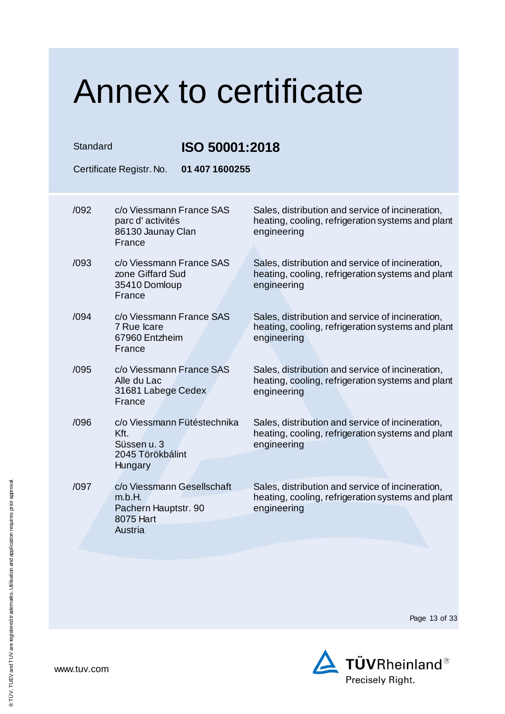| Standard | Certificate Registr. No.<br>01 407 1600255                                           | ISO 50001:2018                                                                                                       |  |
|----------|--------------------------------------------------------------------------------------|----------------------------------------------------------------------------------------------------------------------|--|
|          |                                                                                      |                                                                                                                      |  |
| /092     | c/o Viessmann France SAS<br>parc d'activités<br>86130 Jaunay Clan<br>France          | Sales, distribution and service of incineration,<br>heating, cooling, refrigeration systems and plant<br>engineering |  |
| /0.93    | c/o Viessmann France SAS<br>zone Giffard Sud<br>35410 Domloup<br>France              | Sales, distribution and service of incineration,<br>heating, cooling, refrigeration systems and plant<br>engineering |  |
| /094     | c/o Viessmann France SAS<br>7 Rue Icare<br>67960 Entzheim<br>France                  | Sales, distribution and service of incineration,<br>heating, cooling, refrigeration systems and plant<br>engineering |  |
| /095     | c/o Viessmann France SAS<br>Alle du Lac<br>31681 Labege Cedex<br>France              | Sales, distribution and service of incineration,<br>heating, cooling, refrigeration systems and plant<br>engineering |  |
| /096     | c/o Viessmann Fütéstechnika<br>Kft.<br>Süssen u. 3<br>2045 Törökbálint<br>Hungary    | Sales, distribution and service of incineration,<br>heating, cooling, refrigeration systems and plant<br>engineering |  |
| /097     | c/o Viessmann Gesellschaft<br>m.b.H.<br>Pachern Hauptstr. 90<br>8075 Hart<br>Austria | Sales, distribution and service of incineration,<br>heating, cooling, refrigeration systems and plant<br>engineering |  |

Page 13 of 33

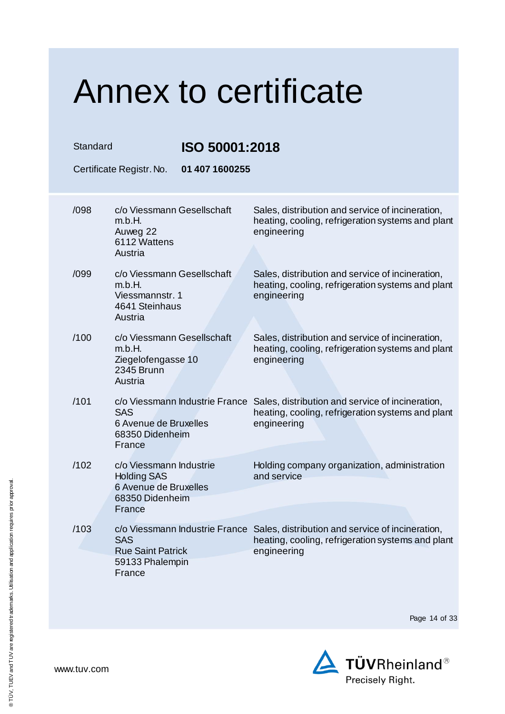### Annex to certificate Standard **ISO 50001:2018** Certificate Registr. No. **01 407 1600255** /098 c/o Viessmann Gesellschaft m.b.H. Auweg 22 6112 Wattens Austria Sales, distribution and service of incineration, heating, cooling, refrigeration systems and plant engineering /099 c/o Viessmann Gesellschaft m.b.H. Viessmannstr. 1 4641 Steinhaus Austria Sales, distribution and service of incineration, heating, cooling, refrigeration systems and plant engineering /100 c/o Viessmann Gesellschaft m.b.H. Ziegelofengasse 10 2345 Brunn Austria Sales, distribution and service of incineration, heating, cooling, refrigeration systems and plant engineering /101 c/o Viessmann Industrie France Sales, distribution and service of incineration, SAS 6 Avenue de Bruxelles 68350 Didenheim France heating, cooling, refrigeration systems and plant engineering /102 c/o Viessmann Industrie Holding SAS 6 Avenue de Bruxelles 68350 Didenheim France Holding company organization, administration and service /103 c/o Viessmann Industrie France Sales, distribution and service of incineration, SAS Rue Saint Patrick 59133 Phalempin France heating, cooling, refrigeration systems and plant engineering

Page 14 of 33

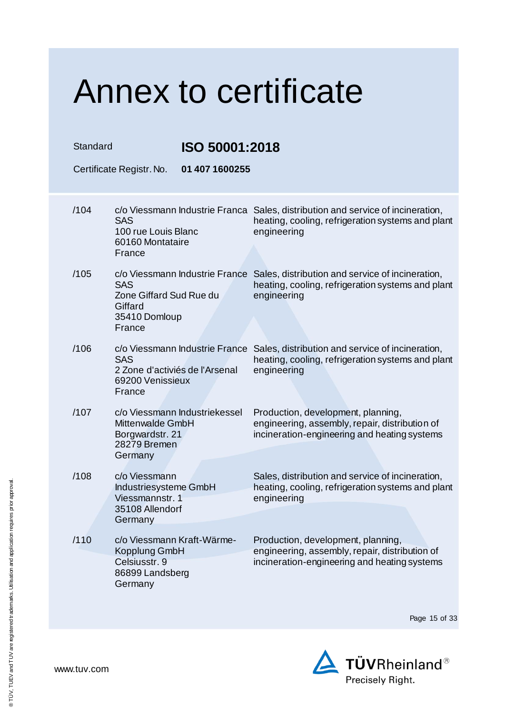### Annex to certificate Standard **ISO 50001:2018** Certificate Registr. No. **01 407 1600255** /104 c/o Viessmann Industrie Franca Sales, distribution and service of incineration, SAS 100 rue Louis Blanc 60160 Montataire France heating, cooling, refrigeration systems and plant engineering /105 c/o Viessmann Industrie France Sales, distribution and service of incineration, SAS Zone Giffard Sud Rue du **Giffard** 35410 Domloup France heating, cooling, refrigeration systems and plant engineering /106 c/o Viessmann Industrie France Sales, distribution and service of incineration, SAS 2 Zone d'activiés de l'Arsenal 69200 Venissieux heating, cooling, refrigeration systems and plant engineering

/107 c/o Viessmann Industriekessel Mittenwalde GmbH Borgwardstr. 21 28279 Bremen **Germany** Production, development, planning, engineering, assembly, repair, distribution of incineration-engineering and heating systems

> Industriesysteme GmbH Sales, distribution and service of incineration, heating, cooling, refrigeration systems and plant engineering

/110 c/o Viessmann Kraft-Wärme-Kopplung GmbH Celsiusstr. 9 86899 Landsberg Germany Production, development, planning, engineering, assembly, repair, distribution of incineration-engineering and heating systems

Page 15 of 33



France

/108 c/o Viessmann

Germany

Viessmannstr. 1 35108 Allendorf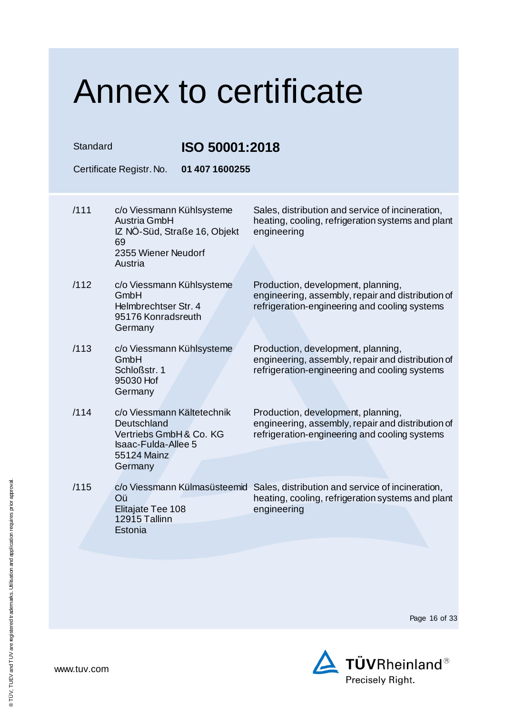| Standard | Certificate Registr. No.                                                                                                     | ISO 50001:2018<br>01 407 1600255 |                                                                                                                                                   |
|----------|------------------------------------------------------------------------------------------------------------------------------|----------------------------------|---------------------------------------------------------------------------------------------------------------------------------------------------|
| /111     | c/o Viessmann Kühlsysteme<br>Austria GmbH<br>IZ NÖ-Süd, Straße 16, Objekt<br>69<br>2355 Wiener Neudorf<br>Austria            |                                  | Sales, distribution and service of incineration,<br>heating, cooling, refrigeration systems and plant<br>engineering                              |
| /112     | c/o Viessmann Kühlsysteme<br>GmbH<br>Helmbrechtser Str. 4<br>95176 Konradsreuth<br>Germany                                   |                                  | Production, development, planning,<br>engineering, assembly, repair and distribution of<br>refrigeration-engineering and cooling systems          |
| /113     | c/o Viessmann Kühlsysteme<br>GmbH<br>Schloßstr. 1<br>95030 Hof<br>Germany                                                    |                                  | Production, development, planning,<br>engineering, assembly, repair and distribution of<br>refrigeration-engineering and cooling systems          |
| /114     | c/o Viessmann Kältetechnik<br>Deutschland<br>Vertriebs GmbH & Co. KG<br><b>Isaac-Fulda-Allee 5</b><br>55124 Mainz<br>Germany |                                  | Production, development, planning,<br>engineering, assembly, repair and distribution of<br>refrigeration-engineering and cooling systems          |
| /115     | Oü<br>Elitajate Tee 108<br>12915 Tallinn<br>Estonia                                                                          |                                  | c/o Viessmann Külmasüsteemid Sales, distribution and service of incineration,<br>heating, cooling, refrigeration systems and plant<br>engineering |

Page 16 of 33

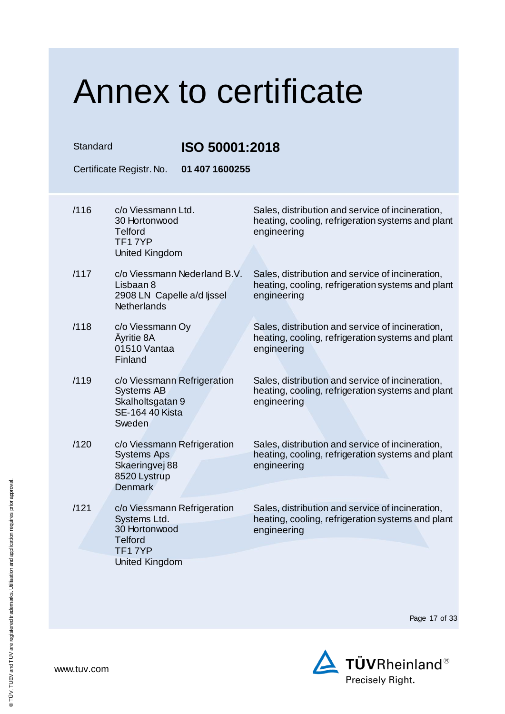| Standard |                                                                                                                   | ISO 50001:2018                                                                                                       |  |
|----------|-------------------------------------------------------------------------------------------------------------------|----------------------------------------------------------------------------------------------------------------------|--|
|          | Certificate Registr. No.<br>01 407 1600255                                                                        |                                                                                                                      |  |
| /116     | c/o Viessmann Ltd.<br>30 Hortonwood<br><b>Telford</b><br>TF17YP<br>United Kingdom                                 | Sales, distribution and service of incineration,<br>heating, cooling, refrigeration systems and plant<br>engineering |  |
| /117     | c/o Viessmann Nederland B.V.<br>Lisbaan 8<br>2908 LN Capelle a/d ljssel<br><b>Netherlands</b>                     | Sales, distribution and service of incineration,<br>heating, cooling, refrigeration systems and plant<br>engineering |  |
| /118     | c/o Viessmann Oy<br>Äyritie 8A<br>01510 Vantaa<br>Finland                                                         | Sales, distribution and service of incineration,<br>heating, cooling, refrigeration systems and plant<br>engineering |  |
| /119     | c/o Viessmann Refrigeration<br><b>Systems AB</b><br>Skalholtsgatan 9<br><b>SE-164 40 Kista</b><br>Sweden          | Sales, distribution and service of incineration,<br>heating, cooling, refrigeration systems and plant<br>engineering |  |
| /120     | c/o Viessmann Refrigeration<br><b>Systems Aps</b><br>Skaeringvej 88<br>8520 Lystrup<br><b>Denmark</b>             | Sales, distribution and service of incineration,<br>heating, cooling, refrigeration systems and plant<br>engineering |  |
| /121     | c/o Viessmann Refrigeration<br>Systems Ltd.<br>30 Hortonwood<br><b>Telford</b><br>TF17YP<br><b>United Kingdom</b> | Sales, distribution and service of incineration,<br>heating, cooling, refrigeration systems and plant<br>engineering |  |
|          |                                                                                                                   |                                                                                                                      |  |

Page 17 of 33

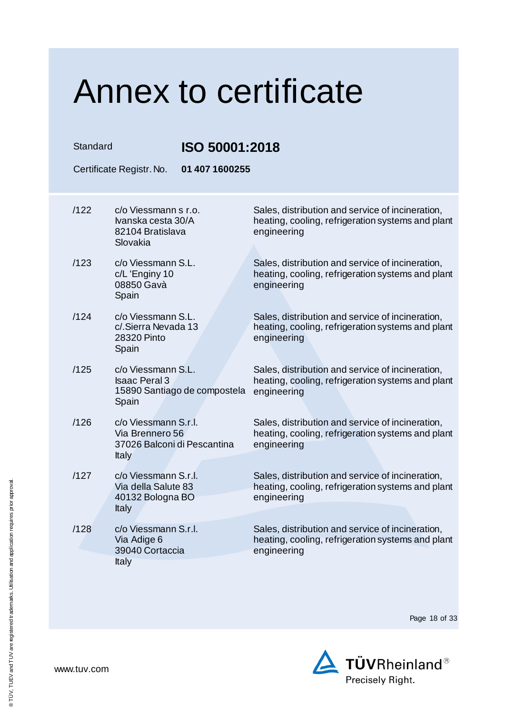Standard **ISO 50001:2018**

| Certificate Registr. No.<br>01 407 1600255 |                                                                                        |                                                                                                                      |  |  |
|--------------------------------------------|----------------------------------------------------------------------------------------|----------------------------------------------------------------------------------------------------------------------|--|--|
| /122                                       | c/o Viessmann s r.o.<br>Ivanska cesta 30/A<br>82104 Bratislava<br>Slovakia             | Sales, distribution and service of incineration,<br>heating, cooling, refrigeration systems and plant<br>engineering |  |  |
| /123                                       | c/o Viessmann S.L.<br>c/L 'Enginy 10<br>08850 Gavà<br>Spain                            | Sales, distribution and service of incineration,<br>heating, cooling, refrigeration systems and plant<br>engineering |  |  |
| /124                                       | c/o Viessmann S.L.<br>c/.Sierra Nevada 13<br>28320 Pinto<br>Spain                      | Sales, distribution and service of incineration,<br>heating, cooling, refrigeration systems and plant<br>engineering |  |  |
| /125                                       | c/o Viessmann S.L.<br><b>Isaac Peral 3</b><br>15890 Santiago de compostela<br>Spain    | Sales, distribution and service of incineration,<br>heating, cooling, refrigeration systems and plant<br>engineering |  |  |
| /126                                       | c/o Viessmann S.r.l.<br>Via Brennero 56<br>37026 Balconi di Pescantina<br><b>Italy</b> | Sales, distribution and service of incineration,<br>heating, cooling, refrigeration systems and plant<br>engineering |  |  |
| /127                                       | c/o Viessmann S.r.l.<br>Via della Salute 83<br>40132 Bologna BO<br>Italy               | Sales, distribution and service of incineration,<br>heating, cooling, refrigeration systems and plant<br>engineering |  |  |
| /128                                       | c/o Viessmann S.r.l.<br>Via Adige 6<br>39040 Cortaccia<br>Italy                        | Sales, distribution and service of incineration,<br>heating, cooling, refrigeration systems and plant<br>engineering |  |  |

Page 18 of 33



www.tuv.com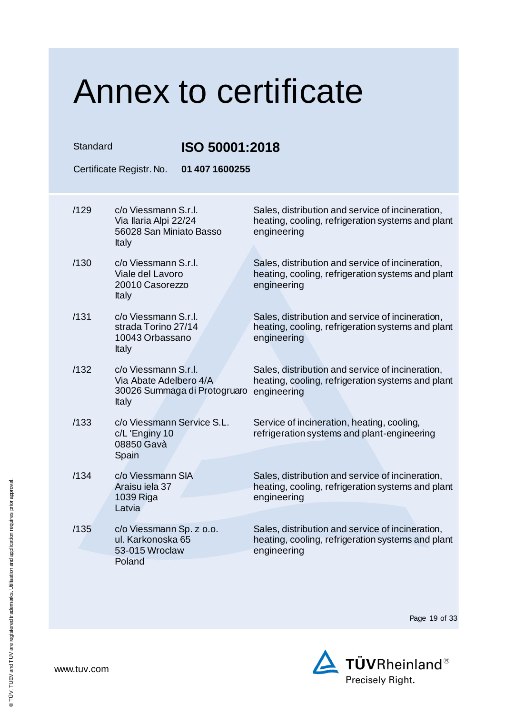| Standard |                                                                                   | ISO 50001:2018               |                                                                                                                      |  |
|----------|-----------------------------------------------------------------------------------|------------------------------|----------------------------------------------------------------------------------------------------------------------|--|
|          | Certificate Registr. No.                                                          | 01 407 1600255               |                                                                                                                      |  |
| /129     | c/o Viessmann S.r.l.<br>Via Ilaria Alpi 22/24<br>56028 San Miniato Basso<br>Italy |                              | Sales, distribution and service of incineration,<br>heating, cooling, refrigeration systems and plant<br>engineering |  |
| /130     | c/o Viessmann S.r.I.<br>Viale del Lavoro<br>20010 Casorezzo<br>Italy              |                              | Sales, distribution and service of incineration,<br>heating, cooling, refrigeration systems and plant<br>engineering |  |
| /131     | c/o Viessmann S.r.l.<br>strada Torino 27/14<br>10043 Orbassano<br>Italy           |                              | Sales, distribution and service of incineration,<br>heating, cooling, refrigeration systems and plant<br>engineering |  |
| /132     | c/o Viessmann S.r.l.<br>Via Abate Adelbero 4/A<br>Italy                           | 30026 Summaga di Protogruaro | Sales, distribution and service of incineration,<br>heating, cooling, refrigeration systems and plant<br>engineering |  |
| /133     | c/o Viessmann Service S.L.<br>c/L 'Enginy 10<br>08850 Gavà<br>Spain               |                              | Service of incineration, heating, cooling,<br>refrigeration systems and plant-engineering                            |  |
| /134     | c/o Viessmann SIA<br>Araisu iela 37<br>1039 Riga<br>Latvia                        |                              | Sales, distribution and service of incineration,<br>heating, cooling, refrigeration systems and plant<br>engineering |  |
| /135     | c/o Viessmann Sp. z o.o.<br>ul. Karkonoska 65<br>53-015 Wroclaw<br>Poland         |                              | Sales, distribution and service of incineration,<br>heating, cooling, refrigeration systems and plant<br>engineering |  |

Page 19 of 33



www.tuv.com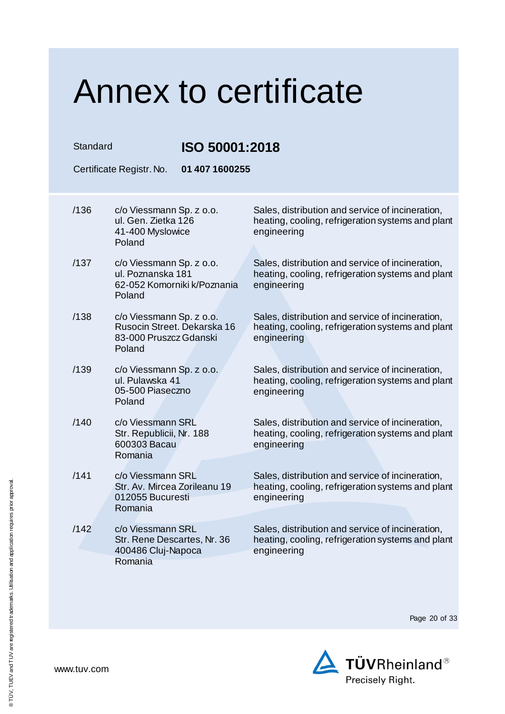| Standard |                                                                                             | ISO 50001:2018              |                                                                                                                      |  |
|----------|---------------------------------------------------------------------------------------------|-----------------------------|----------------------------------------------------------------------------------------------------------------------|--|
|          | Certificate Registr. No.                                                                    |                             | 01 407 1600255                                                                                                       |  |
| /136     | c/o Viessmann Sp. z o.o.<br>ul. Gen. Zietka 126<br>41-400 Myslowice<br>Poland               |                             | Sales, distribution and service of incineration,<br>heating, cooling, refrigeration systems and plant<br>engineering |  |
| /137     | c/o Viessmann Sp. z o.o.<br>ul. Poznanska 181<br>Poland                                     | 62-052 Komorniki k/Poznania | Sales, distribution and service of incineration,<br>heating, cooling, refrigeration systems and plant<br>engineering |  |
| /138     | c/o Viessmann Sp. z o.o.<br>Rusocin Street, Dekarska 16<br>83-000 Pruszcz Gdanski<br>Poland |                             | Sales, distribution and service of incineration,<br>heating, cooling, refrigeration systems and plant<br>engineering |  |
| /139     | c/o Viessmann Sp. z o.o.<br>ul. Pulawska 41<br>05-500 Piaseczno<br>Poland                   |                             | Sales, distribution and service of incineration,<br>heating, cooling, refrigeration systems and plant<br>engineering |  |
| /140     | c/o Viessmann SRL<br>Str. Republicii, Nr. 188<br>600303 Bacau<br>Romania                    |                             | Sales, distribution and service of incineration,<br>heating, cooling, refrigeration systems and plant<br>engineering |  |
| /141     | c/o Viessmann SRL<br>Str. Av. Mircea Zorileanu 19<br>012055 Bucuresti<br>Romania            |                             | Sales, distribution and service of incineration,<br>heating, cooling, refrigeration systems and plant<br>engineering |  |
| /142     | c/o Viessmann SRL<br>Str. Rene Descartes, Nr. 36<br>400486 Cluj-Napoca<br>Romania           |                             | Sales, distribution and service of incineration,<br>heating, cooling, refrigeration systems and plant<br>engineering |  |

Page 20 of 33

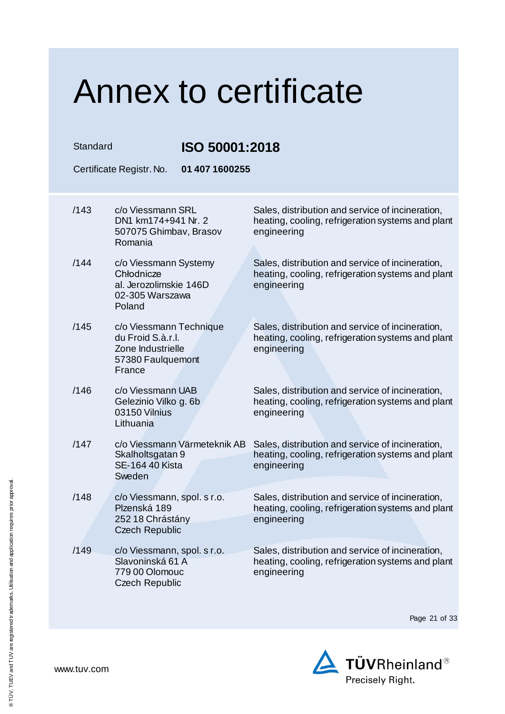Standard **ISO 50001:2018**

Certificate Registr. No. **01 407 1600255**

| /143 | c/o Viessmann SRL<br>DN1 km174+941 Nr. 2<br>507075 Ghimbav, Brasov<br>Romania                    | Sales, distribution and service of incineration,<br>heating, cooling, refrigeration systems and plant<br>engineering |
|------|--------------------------------------------------------------------------------------------------|----------------------------------------------------------------------------------------------------------------------|
| /144 | c/o Viessmann Systemy<br>Chłodnicze<br>al. Jerozolimskie 146D<br>02-305 Warszawa<br>Poland       | Sales, distribution and service of incineration,<br>heating, cooling, refrigeration systems and plant<br>engineering |
| /145 | c/o Viessmann Technique<br>du Froid S.à.r.l.<br>Zone Industrielle<br>57380 Faulquemont<br>France | Sales, distribution and service of incineration,<br>heating, cooling, refrigeration systems and plant<br>engineering |
| /146 | c/o Viessmann UAB<br>Gelezinio Vilko g. 6b<br>03150 Vilnius<br>Lithuania                         | Sales, distribution and service of incineration,<br>heating, cooling, refrigeration systems and plant<br>engineering |
| /147 | c/o Viessmann Värmeteknik AB<br>Skalholtsgatan 9<br><b>SE-164 40 Kista</b><br>Sweden             | Sales, distribution and service of incineration,<br>heating, cooling, refrigeration systems and plant<br>engineering |
| /148 | c/o Viessmann, spol. s r.o.<br>Plzenská 189<br>252 18 Chrástány<br><b>Czech Republic</b>         | Sales, distribution and service of incineration,<br>heating, cooling, refrigeration systems and plant<br>engineering |
| /149 | c/o Viessmann, spol. s r.o.<br>Slavoninská 61 A<br>779 00 Olomouc<br><b>Czech Republic</b>       | Sales, distribution and service of incineration,<br>heating, cooling, refrigeration systems and plant<br>engineering |

Page 21 of 33

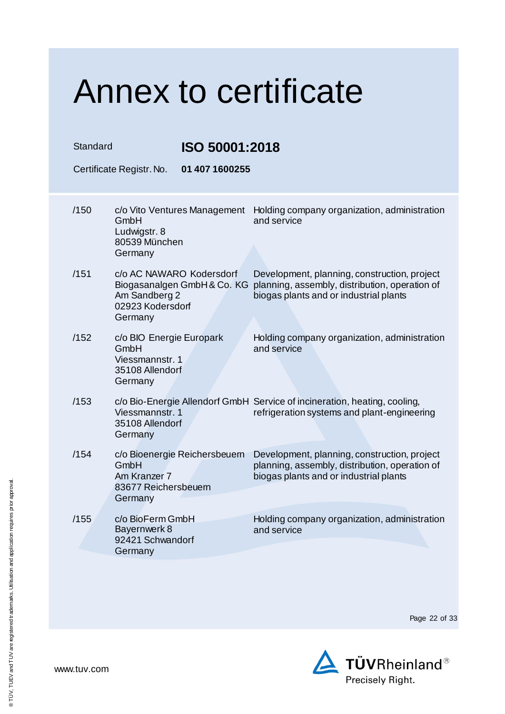### Annex to certificate Standard **ISO 50001:2018** Certificate Registr. No. **01 407 1600255** /150 c/o Vito Ventures Management Holding company organization, administration GmbH Ludwigstr. 8 80539 München Germany and service /151 c/o AC NAWARO Kodersdorf Biogasanalgen GmbH & Co. KG planning, assembly, distribution, operation of Am Sandberg 2 02923 Kodersdorf Germany Development, planning, construction, project biogas plants and or industrial plants /152 c/o BIO Energie Europark **GmbH** Viessmannstr. 1 35108 Allendorf Germany Holding company organization, administration and service /153 c/o Bio-Energie Allendorf GmbH Service of incineration, heating, cooling, Viessmannstr. 1 35108 Allendorf **Germany** refrigeration systems and plant-engineering /154 c/o Bioenergie Reichersbeuern GmbH Am Kranzer 7 83677 Reichersbeuern **Germany** Development, planning, construction, project planning, assembly, distribution, operation of biogas plants and or industrial plants /155 c/o BioFerm GmbH Bayernwerk 8 92421 Schwandorf Germany Holding company organization, administration and service

Page 22 of 33



www.tuv.com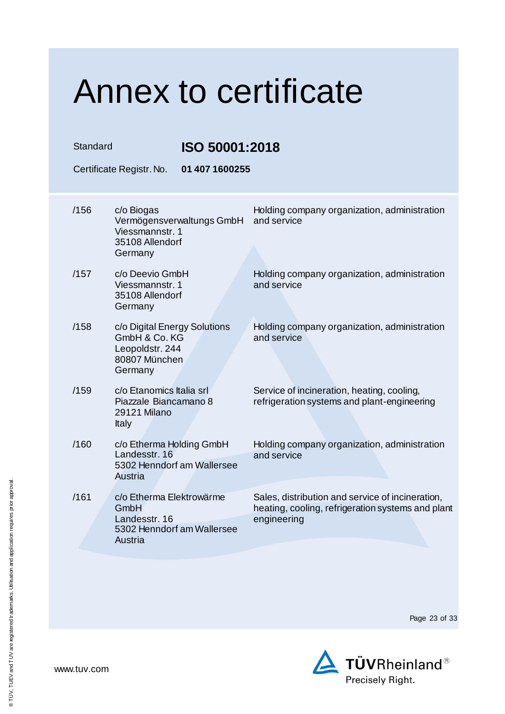| Standard<br>ISO 50001:2018<br>Certificate Registr. No.<br>01 407 1600255 |                                                                                              |                                                                                                                      |
|--------------------------------------------------------------------------|----------------------------------------------------------------------------------------------|----------------------------------------------------------------------------------------------------------------------|
| /156                                                                     | c/o Biogas<br>Vermögensverwaltungs GmbH<br>Viessmannstr, 1<br>35108 Allendorf<br>Germany     | Holding company organization, administration<br>and service                                                          |
| /157                                                                     | c/o Deevio GmbH<br>Viessmannstr, 1<br>35108 Allendorf<br>Germany                             | Holding company organization, administration<br>and service                                                          |
| /158                                                                     | c/o Digital Energy Solutions<br>GmbH & Co. KG<br>Leopoldstr. 244<br>80807 München<br>Germany | Holding company organization, administration<br>and service                                                          |
| /159                                                                     | c/o Etanomics Italia srl<br>Piazzale Biancamano 8<br><b>29121 Milano</b><br><b>Italy</b>     | Service of incineration, heating, cooling,<br>refrigeration systems and plant-engineering                            |
| /160                                                                     | c/o Etherma Holding GmbH<br>Landesstr, 16<br>5302 Henndorf am Wallersee<br>Austria           | Holding company organization, administration<br>and service                                                          |
| /161                                                                     | c/o Etherma Elektrowärme<br>GmbH<br>Landesstr, 16<br>5302 Henndorf am Wallersee<br>Austria   | Sales, distribution and service of incineration,<br>heating, cooling, refrigeration systems and plant<br>engineering |
|                                                                          |                                                                                              |                                                                                                                      |

Page 23 of 33

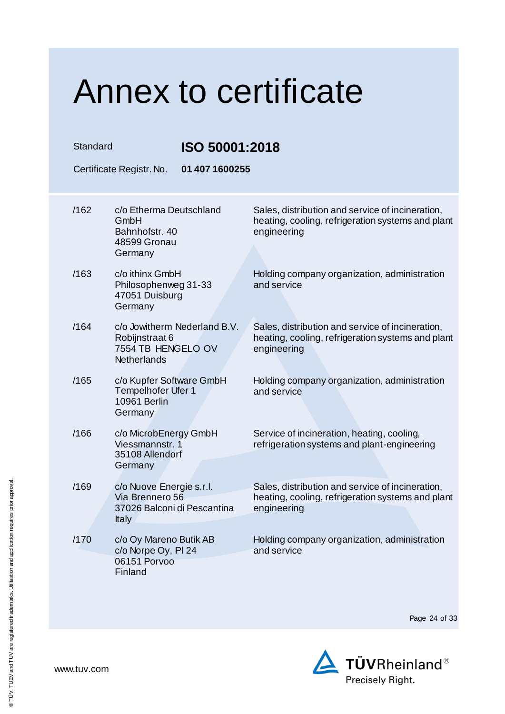| Standard | Certificate Registr. No.                                                            | <b>ISO 50001:2018</b><br>01 407 1600255                                                                              |  |
|----------|-------------------------------------------------------------------------------------|----------------------------------------------------------------------------------------------------------------------|--|
| /162     | c/o Etherma Deutschland<br>GmbH<br>Bahnhofstr. 40<br>48599 Gronau<br>Germany        | Sales, distribution and service of incineration,<br>heating, cooling, refrigeration systems and plant<br>engineering |  |
| /163     | c/o ithinx GmbH<br>Philosophenweg 31-33<br>47051 Duisburg<br>Germany                | Holding company organization, administration<br>and service                                                          |  |
| /164     | c/o Jowitherm Nederland B.V.<br>Robijnstraat 6<br>7554 TB HENGELO OV<br>Netherlands | Sales, distribution and service of incineration,<br>heating, cooling, refrigeration systems and plant<br>engineering |  |
| /165     | c/o Kupfer Software GmbH<br>Tempelhofer Ufer 1<br><b>10961 Berlin</b><br>Germany    | Holding company organization, administration<br>and service                                                          |  |
| /166     | c/o MicrobEnergy GmbH<br>Viessmannstr, 1<br>35108 Allendorf<br>Germany              | Service of incineration, heating, cooling,<br>refrigeration systems and plant-engineering                            |  |
| /169     | c/o Nuove Energie s.r.l.<br>Via Brennero 56<br>37026 Balconi di Pescantina<br>Italy | Sales, distribution and service of incineration,<br>heating, cooling, refrigeration systems and plant<br>engineering |  |
| /170     | c/o Oy Mareno Butik AB<br>c/o Norpe Oy, PI 24<br>06151 Porvoo<br>Finland            | Holding company organization, administration<br>and service                                                          |  |

Page 24 of 33

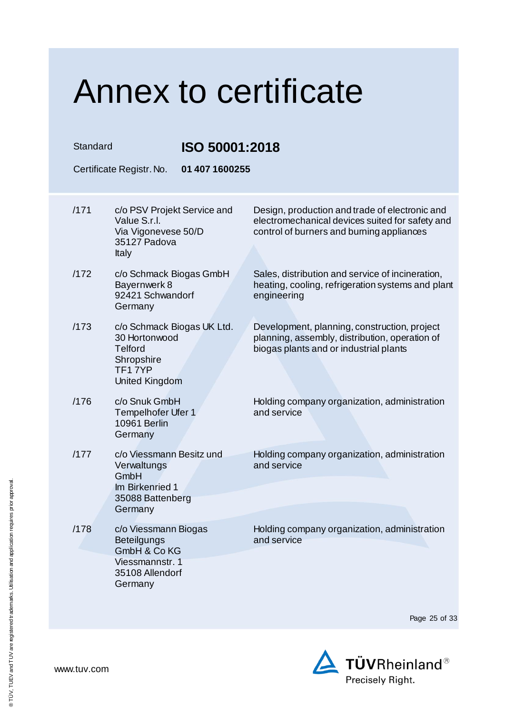| Standard | Certificate Registr. No.                                                                                       | <b>ISO 50001:2018</b><br>01 407 1600255                                                                                                        |  |
|----------|----------------------------------------------------------------------------------------------------------------|------------------------------------------------------------------------------------------------------------------------------------------------|--|
| /171     | c/o PSV Projekt Service and<br>Value S.r.l.<br>Via Vigonevese 50/D<br>35127 Padova<br>Italy                    | Design, production and trade of electronic and<br>electromechanical devices suited for safety and<br>control of burners and burning appliances |  |
| /172     | c/o Schmack Biogas GmbH<br>Bayernwerk 8<br>92421 Schwandorf<br>Germany                                         | Sales, distribution and service of incineration,<br>heating, cooling, refrigeration systems and plant<br>engineering                           |  |
| /173     | c/o Schmack Biogas UK Ltd.<br>30 Hortonwood<br><b>Telford</b><br>Shropshire<br>TF17YP<br><b>United Kingdom</b> | Development, planning, construction, project<br>planning, assembly, distribution, operation of<br>biogas plants and or industrial plants       |  |
| /176     | c/o Snuk GmbH<br>Tempelhofer Ufer 1<br><b>10961 Berlin</b><br>Germany                                          | Holding company organization, administration<br>and service                                                                                    |  |
| /177     | c/o Viessmann Besitz und<br>Verwaltungs<br>GmbH<br>Im Birkenried 1<br>35088 Battenberg<br>Germany              | Holding company organization, administration<br>and service                                                                                    |  |
| /178     | c/o Viessmann Biogas<br>Beteilgungs<br>GmbH & Co KG<br>Viessmannstr. 1<br>35108 Allendorf<br>Germany           | Holding company organization, administration<br>and service                                                                                    |  |

Page 25 of 33

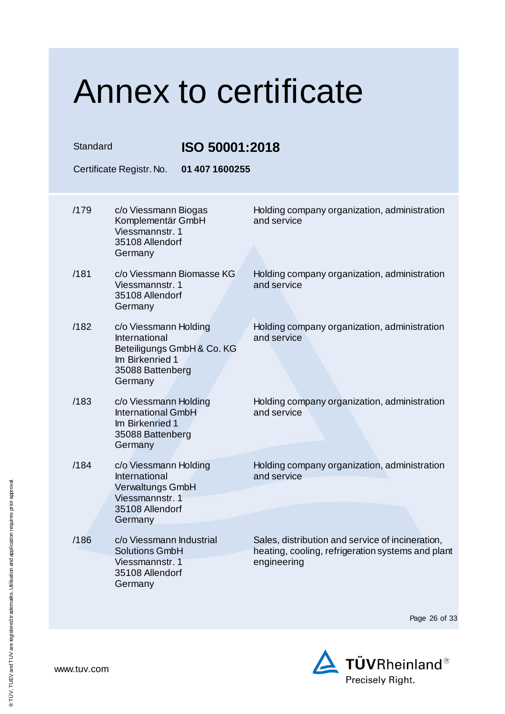| Standard<br>Certificate Registr. No. |                                                                                                             | <b>ISO 50001:2018</b><br>01 407 1600255 |                                                                                                                      |
|--------------------------------------|-------------------------------------------------------------------------------------------------------------|-----------------------------------------|----------------------------------------------------------------------------------------------------------------------|
| /179                                 | c/o Viessmann Biogas<br>Komplementär GmbH<br>Viessmannstr. 1<br>35108 Allendorf<br>Germany                  |                                         | Holding company organization, administration<br>and service                                                          |
| /181                                 | Viessmannstr. 1<br>35108 Allendorf<br>Germany                                                               | c/o Viessmann Biomasse KG               | Holding company organization, administration<br>and service                                                          |
| /182                                 | c/o Viessmann Holding<br>International<br>Im Birkenried 1<br>35088 Battenberg<br>Germany                    | Beteiligungs GmbH & Co. KG              | Holding company organization, administration<br>and service                                                          |
| /183                                 | c/o Viessmann Holding<br><b>International GmbH</b><br>Im Birkenried 1<br>35088 Battenberg<br>Germany        |                                         | Holding company organization, administration<br>and service                                                          |
| /184                                 | c/o Viessmann Holding<br>International<br>Verwaltungs GmbH<br>Viessmannstr, 1<br>35108 Allendorf<br>Germany |                                         | Holding company organization, administration<br>and service                                                          |
| /186                                 | c/o Viessmann Industrial<br><b>Solutions GmbH</b><br>Viessmannstr. 1<br>35108 Allendorf<br>Germany          |                                         | Sales, distribution and service of incineration,<br>heating, cooling, refrigeration systems and plant<br>engineering |

Page 26 of 33

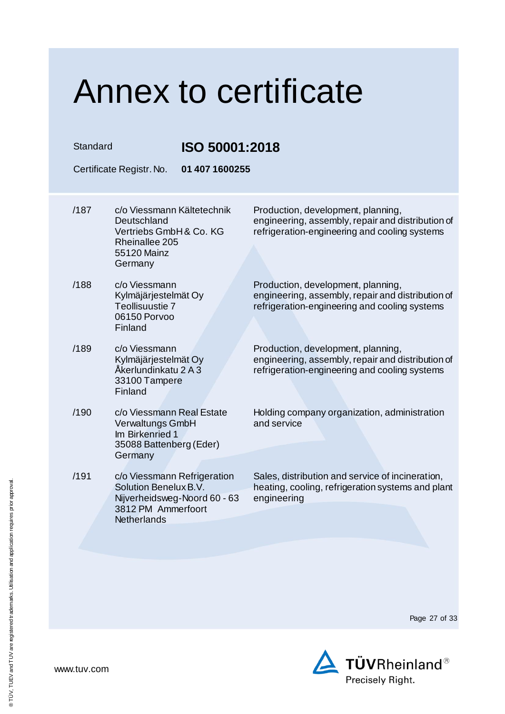| Standard | ISO 50001:2018<br>01 407 1600255<br>Certificate Registr. No.                                                                     |                                                                                                                                          |
|----------|----------------------------------------------------------------------------------------------------------------------------------|------------------------------------------------------------------------------------------------------------------------------------------|
| /187     | c/o Viessmann Kältetechnik<br>Deutschland<br>Vertriebs GmbH & Co. KG<br>Rheinallee 205<br>55120 Mainz<br>Germany                 | Production, development, planning,<br>engineering, assembly, repair and distribution of<br>refrigeration-engineering and cooling systems |
| /188     | c/o Viessmann<br>Kylmäjärjestelmät Oy<br>Teollisuustie 7<br>06150 Porvoo<br>Finland                                              | Production, development, planning,<br>engineering, assembly, repair and distribution of<br>refrigeration-engineering and cooling systems |
| /189     | c/o Viessmann<br>Kylmäjärjestelmät Oy<br>Åkerlundinkatu 2 A 3<br>33100 Tampere<br>Finland                                        | Production, development, planning,<br>engineering, assembly, repair and distribution of<br>refrigeration-engineering and cooling systems |
| /190     | c/o Viessmann Real Estate<br><b>Verwaltungs GmbH</b><br>Im Birkenried 1<br>35088 Battenberg (Eder)<br>Germany                    | Holding company organization, administration<br>and service                                                                              |
| /191     | c/o Viessmann Refrigeration<br>Solution Benelux B.V.<br>Nijverheidsweg-Noord 60 - 63<br>3812 PM Ammerfoort<br><b>Netherlands</b> | Sales, distribution and service of incineration,<br>heating, cooling, refrigeration systems and plant<br>engineering                     |

Page 27 of 33

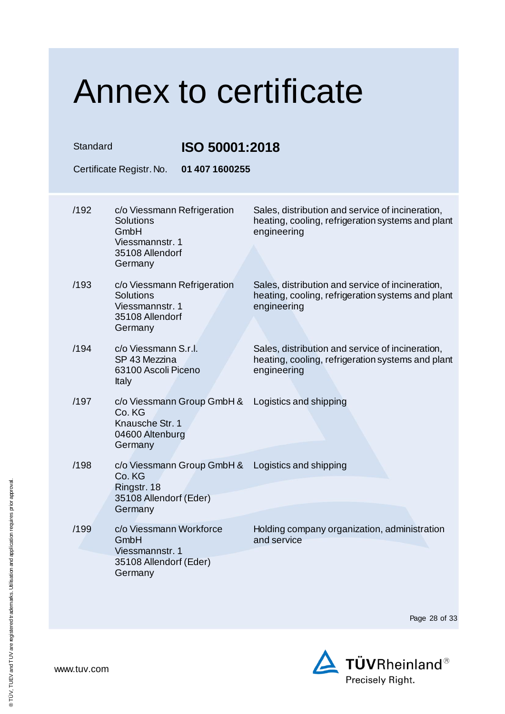| Standard | Certificate Registr. No.                                                                                 | ISO 50001:2018<br>01 407 1600255                                                                                     |  |
|----------|----------------------------------------------------------------------------------------------------------|----------------------------------------------------------------------------------------------------------------------|--|
| /192     | c/o Viessmann Refrigeration<br><b>Solutions</b><br>GmbH<br>Viessmannstr. 1<br>35108 Allendorf<br>Germany | Sales, distribution and service of incineration,<br>heating, cooling, refrigeration systems and plant<br>engineering |  |
| /193     | c/o Viessmann Refrigeration<br>Solutions<br>Viessmannstr. 1<br>35108 Allendorf<br>Germany                | Sales, distribution and service of incineration,<br>heating, cooling, refrigeration systems and plant<br>engineering |  |
| /194     | c/o Viessmann S.r.l.<br>SP 43 Mezzina<br>63100 Ascoli Piceno<br>Italy                                    | Sales, distribution and service of incineration,<br>heating, cooling, refrigeration systems and plant<br>engineering |  |
| /197     | c/o Viessmann Group GmbH &<br>Co. KG<br>Knausche Str. 1<br>04600 Altenburg<br>Germany                    | Logistics and shipping                                                                                               |  |
| /198     | c/o Viessmann Group GmbH &<br>Co. KG<br>Ringstr. 18<br>35108 Allendorf (Eder)<br>Germany                 | Logistics and shipping                                                                                               |  |
| /199     | c/o Viessmann Workforce<br>GmbH<br>Viessmannstr. 1<br>35108 Allendorf (Eder)<br>Germany                  | Holding company organization, administration<br>and service                                                          |  |

Page 28 of 33

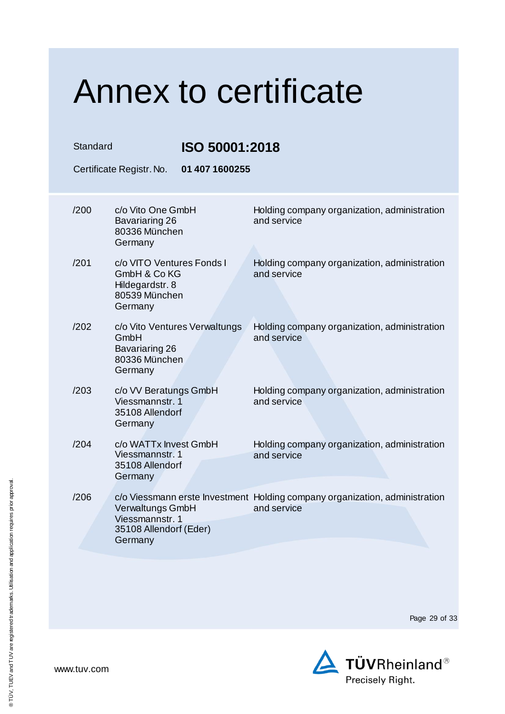| Standard | Certificate Registr. No.                                                                 | ISO 50001:2018<br>01 407 1600255                                                           |  |
|----------|------------------------------------------------------------------------------------------|--------------------------------------------------------------------------------------------|--|
| /200     | c/o Vito One GmbH<br>Bavariaring 26<br>80336 München<br>Germany                          | Holding company organization, administration<br>and service                                |  |
| /201     | c/o VITO Ventures Fonds I<br>GmbH & Co KG<br>Hildegardstr. 8<br>80539 München<br>Germany | Holding company organization, administration<br>and service                                |  |
| /202     | c/o Vito Ventures Verwaltungs<br>GmbH<br>Bavariaring 26<br>80336 München<br>Germany      | Holding company organization, administration<br>and service                                |  |
| /203     | c/o VV Beratungs GmbH<br>Viessmannstr. 1<br>35108 Allendorf<br>Germany                   | Holding company organization, administration<br>and service                                |  |
| /204     | c/o WATTx Invest GmbH<br>Viessmannstr, 1<br>35108 Allendorf<br>Germany                   | Holding company organization, administration<br>and service                                |  |
| /206     | Verwaltungs GmbH<br>Viessmannstr. 1<br>35108 Allendorf (Eder)<br>Germany                 | c/o Viessmann erste Investment Holding company organization, administration<br>and service |  |

Page 29 of 33

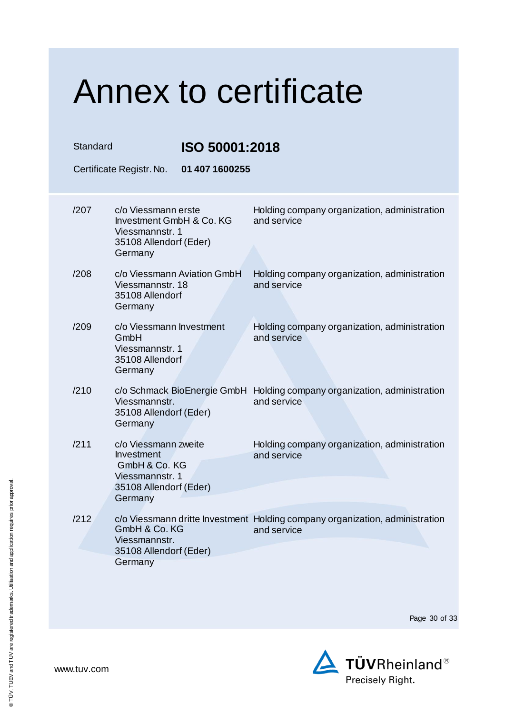| <b>Annex to certificate</b> |                                                                                                             |                                                                                             |  |  |
|-----------------------------|-------------------------------------------------------------------------------------------------------------|---------------------------------------------------------------------------------------------|--|--|
| Standard                    | ISO 50001:2018                                                                                              |                                                                                             |  |  |
|                             | Certificate Registr. No.<br>01 407 1600255                                                                  |                                                                                             |  |  |
| /207                        | c/o Viessmann erste<br>Investment GmbH & Co. KG<br>Viessmannstr. 1<br>35108 Allendorf (Eder)<br>Germany     | Holding company organization, administration<br>and service                                 |  |  |
| /208                        | c/o Viessmann Aviation GmbH<br>Viessmannstr, 18<br>35108 Allendorf<br>Germany                               | Holding company organization, administration<br>and service                                 |  |  |
| /209                        | c/o Viessmann Investment<br>GmbH<br>Viessmannstr. 1<br>35108 Allendorf<br>Germany                           | Holding company organization, administration<br>and service                                 |  |  |
| /210                        | Viessmannstr.<br>35108 Allendorf (Eder)<br>Germany                                                          | c/o Schmack BioEnergie GmbH Holding company organization, administration<br>and service     |  |  |
| /211                        | c/o Viessmann zweite<br>Investment<br>GmbH & Co. KG<br>Viessmannstr. 1<br>35108 Allendorf (Eder)<br>Germany | Holding company organization, administration<br>and service                                 |  |  |
| /212                        | GmbH & Co. KG<br>Viessmannstr.<br>35108 Allendorf (Eder)                                                    | c/o Viessmann dritte Investment Holding company organization, administration<br>and service |  |  |
|                             | Germany                                                                                                     |                                                                                             |  |  |

Page 30 of 33

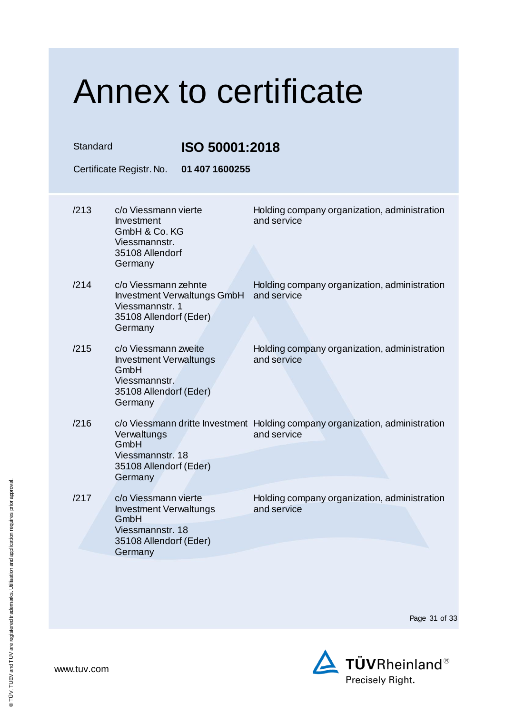| Standard<br>Certificate Registr. No. |                                                                                                                        | ISO 50001:2018<br>01 407 1600255 |                                                                                             |  |
|--------------------------------------|------------------------------------------------------------------------------------------------------------------------|----------------------------------|---------------------------------------------------------------------------------------------|--|
| /213                                 | c/o Viessmann vierte<br>Investment<br>GmbH & Co. KG<br>Viessmannstr.<br>35108 Allendorf<br>Germany                     |                                  | Holding company organization, administration<br>and service                                 |  |
| /214                                 | c/o Viessmann zehnte<br>Investment Verwaltungs GmbH<br>Viessmannstr, 1<br>35108 Allendorf (Eder)<br>Germany            |                                  | Holding company organization, administration<br>and service                                 |  |
| /215                                 | c/o Viessmann zweite<br><b>Investment Verwaltungs</b><br>GmbH<br>Viessmannstr.<br>35108 Allendorf (Eder)<br>Germany    |                                  | Holding company organization, administration<br>and service                                 |  |
| /216                                 | Verwaltungs<br>GmbH<br>Viessmannstr. 18<br>35108 Allendorf (Eder)<br>Germany                                           |                                  | c/o Viessmann dritte Investment Holding company organization, administration<br>and service |  |
| /217                                 | c/o Viessmann vierte<br><b>Investment Verwaltungs</b><br>GmbH<br>Viessmannstr, 18<br>35108 Allendorf (Eder)<br>Germany |                                  | Holding company organization, administration<br>and service                                 |  |

Page 31 of 33

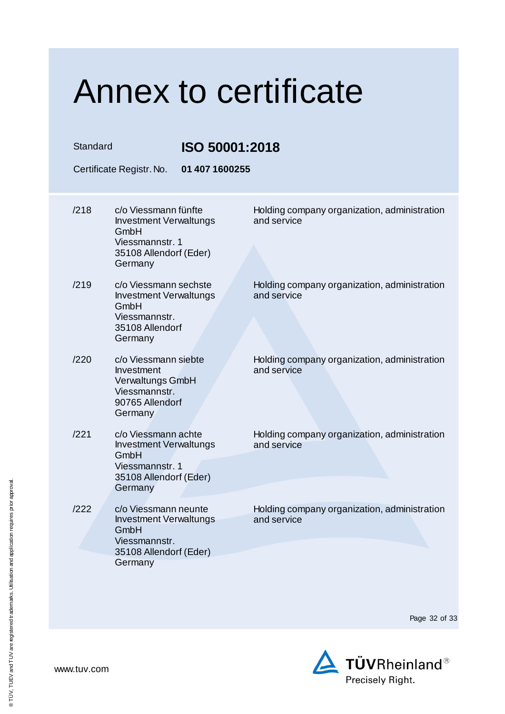| Standard | Certificate Registr. No.                                                                                              | ISO 50001:2018<br>01 407 1600255                            |  |  |
|----------|-----------------------------------------------------------------------------------------------------------------------|-------------------------------------------------------------|--|--|
| /218     | c/o Viessmann fünfte<br><b>Investment Verwaltungs</b><br>GmbH<br>Viessmannstr. 1<br>35108 Allendorf (Eder)<br>Germany | Holding company organization, administration<br>and service |  |  |
| /219     | c/o Viessmann sechste<br><b>Investment Verwaltungs</b><br>GmbH<br>Viessmannstr.<br>35108 Allendorf<br>Germany         | Holding company organization, administration<br>and service |  |  |
| /220     | c/o Viessmann siebte<br>Investment<br>Verwaltungs GmbH<br>Viessmannstr.<br>90765 Allendorf<br>Germany                 | Holding company organization, administration<br>and service |  |  |
| 1221     | c/o Viessmann achte<br><b>Investment Verwaltungs</b><br>GmbH<br>Viessmannstr. 1<br>35108 Allendorf (Eder)<br>Germany  | Holding company organization, administration<br>and service |  |  |
| /222     | c/o Viessmann neunte<br><b>Investment Verwaltungs</b><br>GmbH<br>Viessmannstr.<br>35108 Allendorf (Eder)<br>Germany   | Holding company organization, administration<br>and service |  |  |

Page 32 of 33